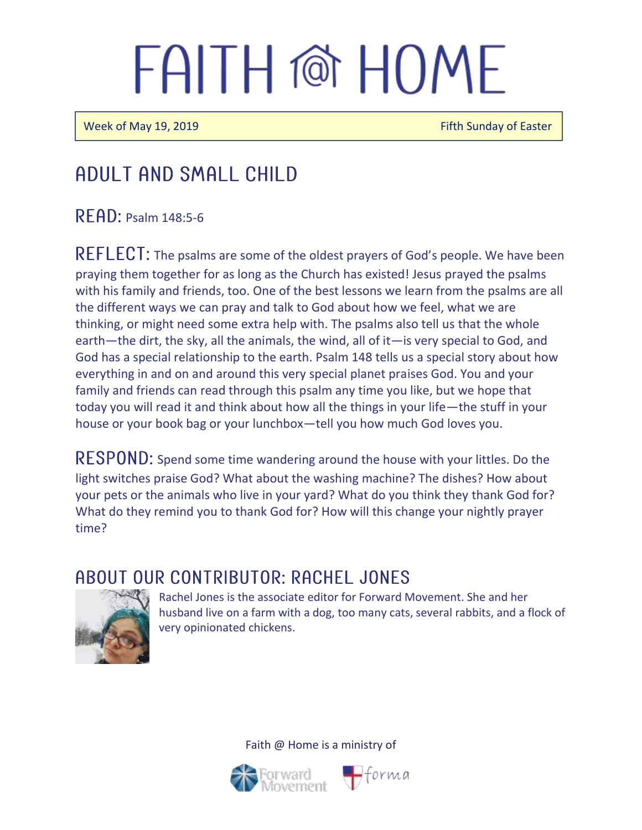Week of May 19, 2019 **Figure 2018** Fifth Sunday of Easter

### Adult and Small Child

RFAD: Psalm 148:5-6

REFLECT: The psalms are some of the oldest prayers of God's people. We have been praying them together for as long as the Church has existed! Jesus prayed the psalms with his family and friends, too. One of the best lessons we learn from the psalms are all the different ways we can pray and talk to God about how we feel, what we are thinking, or might need some extra help with. The psalms also tell us that the whole earth—the dirt, the sky, all the animals, the wind, all of it—is very special to God, and God has a special relationship to the earth. Psalm 148 tells us a special story about how everything in and on and around this very special planet praises God. You and your family and friends can read through this psalm any time you like, but we hope that today you will read it and think about how all the things in your life—the stuff in your house or your book bag or your lunchbox—tell you how much God loves you.

RESPOND: Spend some time wandering around the house with your littles. Do the light switches praise God? What about the washing machine? The dishes? How about your pets or the animals who live in your yard? What do you think they thank God for? What do they remind you to thank God for? How will this change your nightly prayer time?

### A BOUT OUR CONTRIBUTOR: RACHEL JONES



Rachel Jones is the associate editor for Forward Movement. She and her husband live on a farm with a dog, too many cats, several rabbits, and a flock of very opinionated chickens.



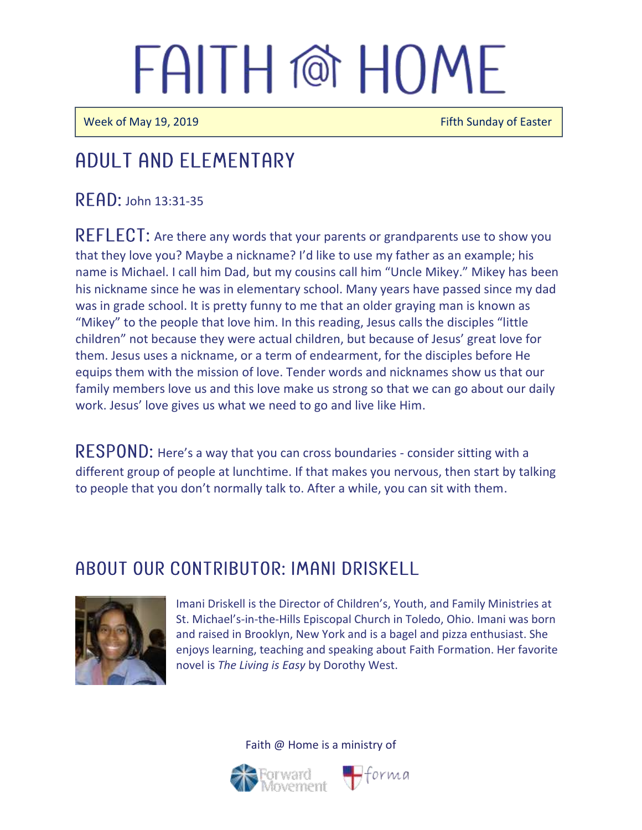Week of May 19, 2019 **Fifth Sunday of Easter** 

Ī

 $\overline{a}$ 

## Adult and elementary

READ: John 13:31-35

REFLECT: Are there any words that your parents or grandparents use to show you that they love you? Maybe a nickname? I'd like to use my father as an example; his name is Michael. I call him Dad, but my cousins call him "Uncle Mikey." Mikey has been his nickname since he was in elementary school. Many years have passed since my dad was in grade school. It is pretty funny to me that an older graying man is known as "Mikey" to the people that love him. In this reading, Jesus calls the disciples "little children" not because they were actual children, but because of Jesus' great love for them. Jesus uses a nickname, or a term of endearment, for the disciples before He equips them with the mission of love. Tender words and nicknames show us that our family members love us and this love make us strong so that we can go about our daily work. Jesus' love gives us what we need to go and live like Him.

RESPOND: Here's a way that you can cross boundaries - consider sitting with a different group of people at lunchtime. If that makes you nervous, then start by talking to people that you don't normally talk to. After a while, you can sit with them.

### ABOUT OUR CONTRIBUTOR: IMANI DRISKELL



Imani Driskell is the Director of Children's, Youth, and Family Ministries at St. Michael's-in-the-Hills Episcopal Church in Toledo, Ohio. Imani was born and raised in Brooklyn, New York and is a bagel and pizza enthusiast. She enjoys learning, teaching and speaking about Faith Formation. Her favorite novel is *The Living is Easy* by Dorothy West.



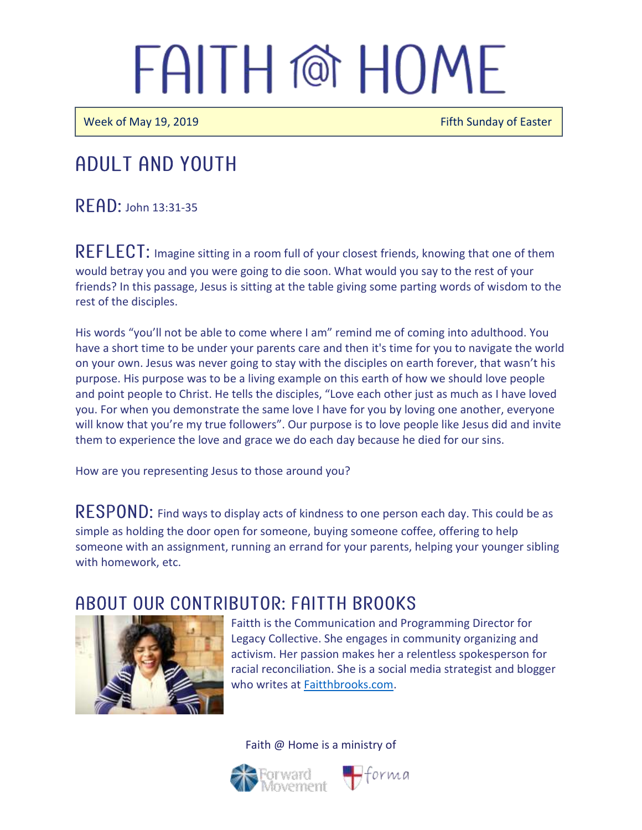Week of May 19, 2019 **Figure 2018** Fifth Sunday of Easter

### Adult and youth

 $R$  $F$  $AD:$  John 13:31-35

REFLECT: Imagine sitting in a room full of your closest friends, knowing that one of them would betray you and you were going to die soon. What would you say to the rest of your friends? In this passage, Jesus is sitting at the table giving some parting words of wisdom to the rest of the disciples.

His words "you'll not be able to come where I am" remind me of coming into adulthood. You have a short time to be under your parents care and then it's time for you to navigate the world on your own. Jesus was never going to stay with the disciples on earth forever, that wasn't his purpose. His purpose was to be a living example on this earth of how we should love people and point people to Christ. He tells the disciples, "Love each other just as much as I have loved you. For when you demonstrate the same love I have for you by loving one another, everyone will know that you're my true followers". Our purpose is to love people like Jesus did and invite them to experience the love and grace we do each day because he died for our sins.

How are you representing Jesus to those around you?

 $\mathsf{RESPOND:}$  Find ways to display acts of kindness to one person each day. This could be as simple as holding the door open for someone, buying someone coffee, offering to help someone with an assignment, running an errand for your parents, helping your younger sibling with homework, etc.

#### A BOUT OUR CONTRIBUTOR: FAITTH BROOKS



Faitth is the Communication and Programming Director for Legacy Collective. She engages in community organizing and activism. Her passion makes her a relentless spokesperson for racial reconciliation. She is a social media strategist and blogger who writes at [Faitthbrooks.com.](https://faitthbrooks.com/)